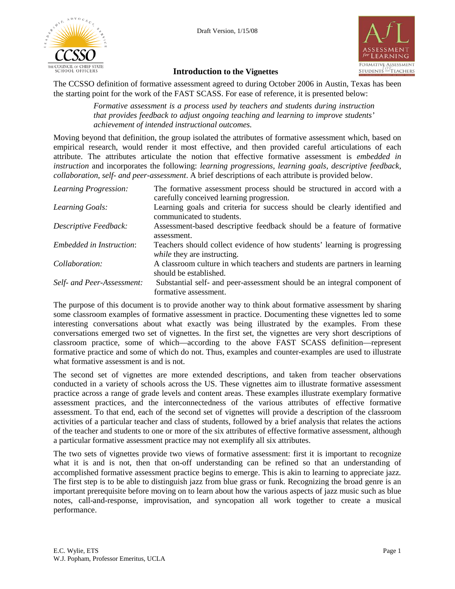



#### **Introduction to the Vignettes**

The CCSSO definition of formative assessment agreed to during October 2006 in Austin, Texas has been the starting point for the work of the FAST SCASS. For ease of reference, it is presented below:

> *Formative assessment is a process used by teachers and students during instruction that provides feedback to adjust ongoing teaching and learning to improve students' achievement of intended instructional outcomes.*

Moving beyond that definition, the group isolated the attributes of formative assessment which, based on empirical research, would render it most effective, and then provided careful articulations of each attribute. The attributes articulate the notion that effective formative assessment is *embedded in instruction* and incorporates the following: *learning progressions, learning goals, descriptive feedback, collaboration*, *self- and peer-assessment*. A brief descriptions of each attribute is provided below.

| Learning Progression:           | The formative assessment process should be structured in accord with a<br>carefully conceived learning progression. |
|---------------------------------|---------------------------------------------------------------------------------------------------------------------|
| Learning Goals:                 | Learning goals and criteria for success should be clearly identified and<br>communicated to students.               |
| Descriptive Feedback:           | Assessment-based descriptive feedback should be a feature of formative<br>assessment.                               |
| <i>Embedded in Instruction:</i> | Teachers should collect evidence of how students' learning is progressing<br>while they are instructing.            |
| Collaboration:                  | A classroom culture in which teachers and students are partners in learning<br>should be established.               |
| Self- and Peer-Assessment:      | Substantial self- and peer-assessment should be an integral component of<br>formative assessment.                   |

The purpose of this document is to provide another way to think about formative assessment by sharing some classroom examples of formative assessment in practice. Documenting these vignettes led to some interesting conversations about what exactly was being illustrated by the examples. From these conversations emerged two set of vignettes. In the first set, the vignettes are very short descriptions of classroom practice, some of which—according to the above FAST SCASS definition—represent formative practice and some of which do not. Thus, examples and counter-examples are used to illustrate what formative assessment is and is not.

The second set of vignettes are more extended descriptions, and taken from teacher observations conducted in a variety of schools across the US. These vignettes aim to illustrate formative assessment practice across a range of grade levels and content areas. These examples illustrate exemplary formative assessment practices, and the interconnectedness of the various attributes of effective formative assessment. To that end, each of the second set of vignettes will provide a description of the classroom activities of a particular teacher and class of students, followed by a brief analysis that relates the actions of the teacher and students to one or more of the six attributes of effective formative assessment, although a particular formative assessment practice may not exemplify all six attributes.

The two sets of vignettes provide two views of formative assessment: first it is important to recognize what it is and is not, then that on-off understanding can be refined so that an understanding of accomplished formative assessment practice begins to emerge. This is akin to learning to appreciate jazz. The first step is to be able to distinguish jazz from blue grass or funk. Recognizing the broad genre is an important prerequisite before moving on to learn about how the various aspects of jazz music such as blue notes, call-and-response, improvisation, and syncopation all work together to create a musical performance.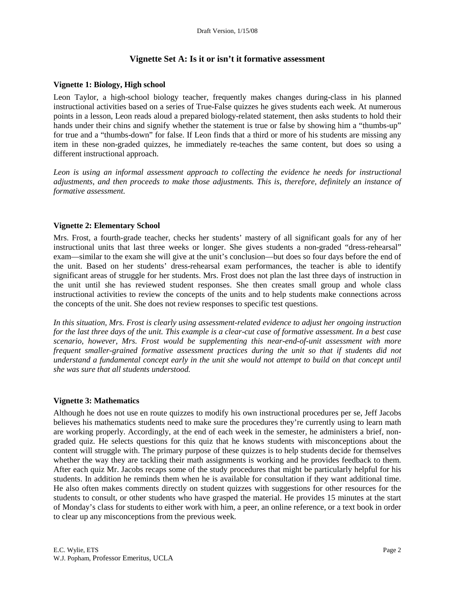# **Vignette Set A: Is it or isn't it formative assessment**

#### **Vignette 1: Biology, High school**

Leon Taylor, a high-school biology teacher, frequently makes changes during-class in his planned instructional activities based on a series of True-False quizzes he gives students each week. At numerous points in a lesson, Leon reads aloud a prepared biology-related statement, then asks students to hold their hands under their chins and signify whether the statement is true or false by showing him a "thumbs-up" for true and a "thumbs-down" for false. If Leon finds that a third or more of his students are missing any item in these non-graded quizzes, he immediately re-teaches the same content, but does so using a different instructional approach.

Leon is using an informal assessment approach to collecting the evidence he needs for instructional *adjustments, and then proceeds to make those adjustments. This is, therefore, definitely an instance of formative assessment.*

#### **Vignette 2: Elementary School**

Mrs. Frost, a fourth-grade teacher, checks her students' mastery of all significant goals for any of her instructional units that last three weeks or longer. She gives students a non-graded "dress-rehearsal" exam—similar to the exam she will give at the unit's conclusion—but does so four days before the end of the unit. Based on her students' dress-rehearsal exam performances, the teacher is able to identify significant areas of struggle for her students. Mrs. Frost does not plan the last three days of instruction in the unit until she has reviewed student responses. She then creates small group and whole class instructional activities to review the concepts of the units and to help students make connections across the concepts of the unit. She does not review responses to specific test questions.

*In this situation, Mrs. Frost is clearly using assessment-related evidence to adjust her ongoing instruction for the last three days of the unit. This example is a clear-cut case of formative assessment. In a best case scenario, however, Mrs. Frost would be supplementing this near-end-of-unit assessment with more frequent smaller-grained formative assessment practices during the unit so that if students did not understand a fundamental concept early in the unit she would not attempt to build on that concept until she was sure that all students understood.* 

#### **Vignette 3: Mathematics**

Although he does not use en route quizzes to modify his own instructional procedures per se, Jeff Jacobs believes his mathematics students need to make sure the procedures they're currently using to learn math are working properly. Accordingly, at the end of each week in the semester, he administers a brief, nongraded quiz. He selects questions for this quiz that he knows students with misconceptions about the content will struggle with. The primary purpose of these quizzes is to help students decide for themselves whether the way they are tackling their math assignments is working and he provides feedback to them. After each quiz Mr. Jacobs recaps some of the study procedures that might be particularly helpful for his students. In addition he reminds them when he is available for consultation if they want additional time. He also often makes comments directly on student quizzes with suggestions for other resources for the students to consult, or other students who have grasped the material. He provides 15 minutes at the start of Monday's class for students to either work with him, a peer, an online reference, or a text book in order to clear up any misconceptions from the previous week.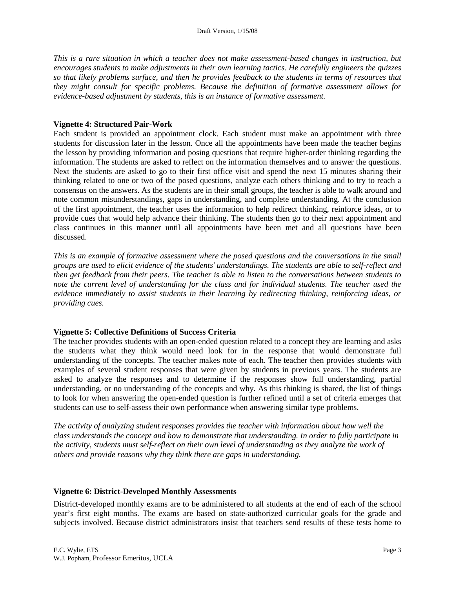*This is a rare situation in which a teacher does not make assessment-based changes in instruction, but encourages students to make adjustments in their own learning tactics. He carefully engineers the quizzes so that likely problems surface, and then he provides feedback to the students in terms of resources that they might consult for specific problems. Because the definition of formative assessment allows for evidence-based adjustment by students, this is an instance of formative assessment.* 

#### **Vignette 4: Structured Pair-Work**

Each student is provided an appointment clock. Each student must make an appointment with three students for discussion later in the lesson. Once all the appointments have been made the teacher begins the lesson by providing information and posing questions that require higher-order thinking regarding the information. The students are asked to reflect on the information themselves and to answer the questions. Next the students are asked to go to their first office visit and spend the next 15 minutes sharing their thinking related to one or two of the posed questions, analyze each others thinking and to try to reach a consensus on the answers. As the students are in their small groups, the teacher is able to walk around and note common misunderstandings, gaps in understanding, and complete understanding. At the conclusion of the first appointment, the teacher uses the information to help redirect thinking, reinforce ideas, or to provide cues that would help advance their thinking. The students then go to their next appointment and class continues in this manner until all appointments have been met and all questions have been discussed.

*This is an example of formative assessment where the posed questions and the conversations in the small groups are used to elicit evidence of the students' understandings. The students are able to self-reflect and then get feedback from their peers. The teacher is able to listen to the conversations between students to note the current level of understanding for the class and for individual students. The teacher used the evidence immediately to assist students in their learning by redirecting thinking, reinforcing ideas, or providing cues.* 

## **Vignette 5: Collective Definitions of Success Criteria**

The teacher provides students with an open-ended question related to a concept they are learning and asks the students what they think would need look for in the response that would demonstrate full understanding of the concepts. The teacher makes note of each. The teacher then provides students with examples of several student responses that were given by students in previous years. The students are asked to analyze the responses and to determine if the responses show full understanding, partial understanding, or no understanding of the concepts and why. As this thinking is shared, the list of things to look for when answering the open-ended question is further refined until a set of criteria emerges that students can use to self-assess their own performance when answering similar type problems.

*The activity of analyzing student responses provides the teacher with information about how well the class understands the concept and how to demonstrate that understanding. In order to fully participate in the activity, students must self-reflect on their own level of understanding as they analyze the work of others and provide reasons why they think there are gaps in understanding.* 

#### **Vignette 6: District-Developed Monthly Assessments**

District-developed monthly exams are to be administered to all students at the end of each of the school year's first eight months. The exams are based on state-authorized curricular goals for the grade and subjects involved. Because district administrators insist that teachers send results of these tests home to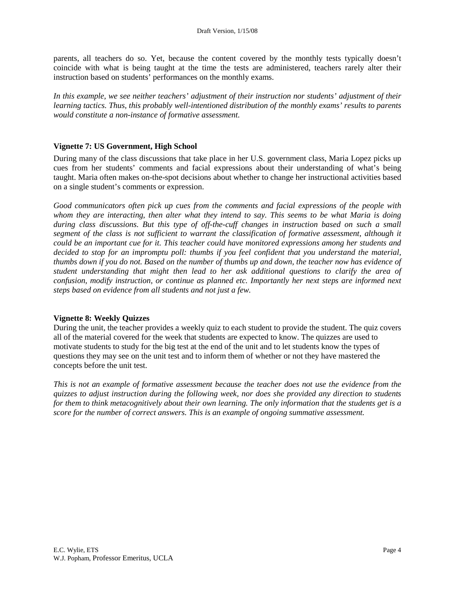parents, all teachers do so. Yet, because the content covered by the monthly tests typically doesn't coincide with what is being taught at the time the tests are administered, teachers rarely alter their instruction based on students' performances on the monthly exams.

*In this example, we see neither teachers' adjustment of their instruction nor students' adjustment of their learning tactics. Thus, this probably well-intentioned distribution of the monthly exams' results to parents would constitute a non-instance of formative assessment.*

### **Vignette 7: US Government, High School**

During many of the class discussions that take place in her U.S. government class, Maria Lopez picks up cues from her students' comments and facial expressions about their understanding of what's being taught. Maria often makes on-the-spot decisions about whether to change her instructional activities based on a single student's comments or expression.

*Good communicators often pick up cues from the comments and facial expressions of the people with whom they are interacting, then alter what they intend to say. This seems to be what Maria is doing during class discussions. But this type of off-the-cuff changes in instruction based on such a small segment of the class is not sufficient to warrant the classification of formative assessment, although it could be an important cue for it. This teacher could have monitored expressions among her students and decided to stop for an impromptu poll: thumbs if you feel confident that you understand the material, thumbs down if you do not. Based on the number of thumbs up and down, the teacher now has evidence of student understanding that might then lead to her ask additional questions to clarify the area of confusion, modify instruction, or continue as planned etc. Importantly her next steps are informed next steps based on evidence from all students and not just a few.* 

#### **Vignette 8: Weekly Quizzes**

During the unit, the teacher provides a weekly quiz to each student to provide the student. The quiz covers all of the material covered for the week that students are expected to know. The quizzes are used to motivate students to study for the big test at the end of the unit and to let students know the types of questions they may see on the unit test and to inform them of whether or not they have mastered the concepts before the unit test.

*This is not an example of formative assessment because the teacher does not use the evidence from the quizzes to adjust instruction during the following week, nor does she provided any direction to students for them to think metacognitively about their own learning. The only information that the students get is a score for the number of correct answers. This is an example of ongoing summative assessment.*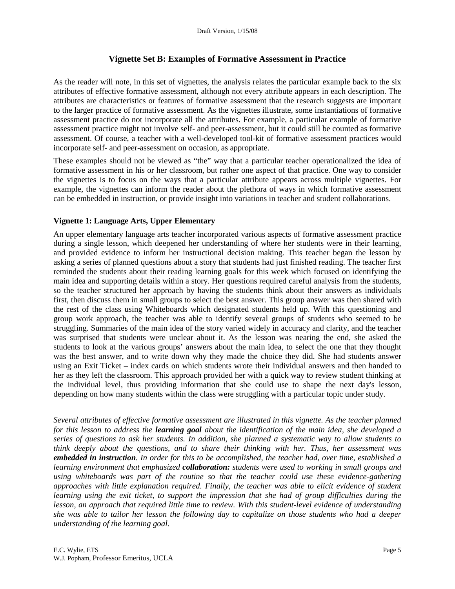# **Vignette Set B: Examples of Formative Assessment in Practice**

As the reader will note, in this set of vignettes, the analysis relates the particular example back to the six attributes of effective formative assessment, although not every attribute appears in each description. The attributes are characteristics or features of formative assessment that the research suggests are important to the larger practice of formative assessment. As the vignettes illustrate, some instantiations of formative assessment practice do not incorporate all the attributes. For example, a particular example of formative assessment practice might not involve self- and peer-assessment, but it could still be counted as formative assessment. Of course, a teacher with a well-developed tool-kit of formative assessment practices would incorporate self- and peer-assessment on occasion, as appropriate.

These examples should not be viewed as "the" way that a particular teacher operationalized the idea of formative assessment in his or her classroom, but rather one aspect of that practice. One way to consider the vignettes is to focus on the ways that a particular attribute appears across multiple vignettes. For example, the vignettes can inform the reader about the plethora of ways in which formative assessment can be embedded in instruction, or provide insight into variations in teacher and student collaborations.

## **Vignette 1: Language Arts, Upper Elementary**

An upper elementary language arts teacher incorporated various aspects of formative assessment practice during a single lesson, which deepened her understanding of where her students were in their learning, and provided evidence to inform her instructional decision making. This teacher began the lesson by asking a series of planned questions about a story that students had just finished reading. The teacher first reminded the students about their reading learning goals for this week which focused on identifying the main idea and supporting details within a story. Her questions required careful analysis from the students, so the teacher structured her approach by having the students think about their answers as individuals first, then discuss them in small groups to select the best answer. This group answer was then shared with the rest of the class using Whiteboards which designated students held up. With this questioning and group work approach, the teacher was able to identify several groups of students who seemed to be struggling. Summaries of the main idea of the story varied widely in accuracy and clarity, and the teacher was surprised that students were unclear about it. As the lesson was nearing the end, she asked the students to look at the various groups' answers about the main idea, to select the one that they thought was the best answer, and to write down why they made the choice they did. She had students answer using an Exit Ticket – index cards on which students wrote their individual answers and then handed to her as they left the classroom. This approach provided her with a quick way to review student thinking at the individual level, thus providing information that she could use to shape the next day's lesson, depending on how many students within the class were struggling with a particular topic under study.

*Several attributes of effective formative assessment are illustrated in this vignette. As the teacher planned for this lesson to address the learning goal about the identification of the main idea, she developed a series of questions to ask her students. In addition, she planned a systematic way to allow students to think deeply about the questions, and to share their thinking with her. Thus, her assessment was embedded in instruction. In order for this to be accomplished, the teacher had, over time, established a learning environment that emphasized collaboration: students were used to working in small groups and using whiteboards was part of the routine so that the teacher could use these evidence-gathering approaches with little explanation required. Finally, the teacher was able to elicit evidence of student learning using the exit ticket, to support the impression that she had of group difficulties during the lesson, an approach that required little time to review. With this student-level evidence of understanding she was able to tailor her lesson the following day to capitalize on those students who had a deeper understanding of the learning goal.*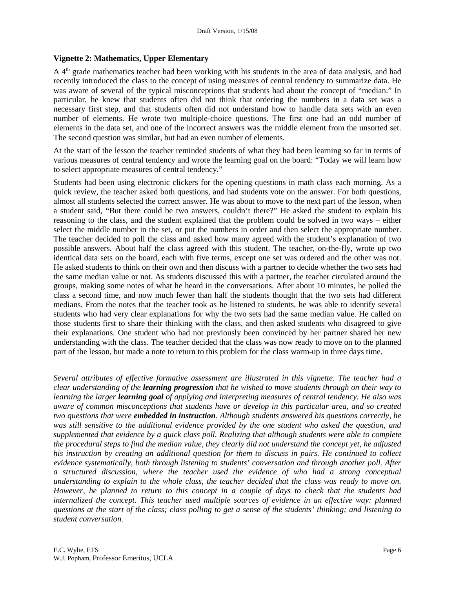#### **Vignette 2: Mathematics, Upper Elementary**

A 4th grade mathematics teacher had been working with his students in the area of data analysis, and had recently introduced the class to the concept of using measures of central tendency to summarize data. He was aware of several of the typical misconceptions that students had about the concept of "median." In particular, he knew that students often did not think that ordering the numbers in a data set was a necessary first step, and that students often did not understand how to handle data sets with an even number of elements. He wrote two multiple-choice questions. The first one had an odd number of elements in the data set, and one of the incorrect answers was the middle element from the unsorted set. The second question was similar, but had an even number of elements.

At the start of the lesson the teacher reminded students of what they had been learning so far in terms of various measures of central tendency and wrote the learning goal on the board: "Today we will learn how to select appropriate measures of central tendency."

Students had been using electronic clickers for the opening questions in math class each morning. As a quick review, the teacher asked both questions, and had students vote on the answer. For both questions, almost all students selected the correct answer. He was about to move to the next part of the lesson, when a student said, "But there could be two answers, couldn't there?" He asked the student to explain his reasoning to the class, and the student explained that the problem could be solved in two ways – either select the middle number in the set, or put the numbers in order and then select the appropriate number. The teacher decided to poll the class and asked how many agreed with the student's explanation of two possible answers. About half the class agreed with this student. The teacher, on-the-fly, wrote up two identical data sets on the board, each with five terms, except one set was ordered and the other was not. He asked students to think on their own and then discuss with a partner to decide whether the two sets had the same median value or not. As students discussed this with a partner, the teacher circulated around the groups, making some notes of what he heard in the conversations. After about 10 minutes, he polled the class a second time, and now much fewer than half the students thought that the two sets had different medians. From the notes that the teacher took as he listened to students, he was able to identify several students who had very clear explanations for why the two sets had the same median value. He called on those students first to share their thinking with the class, and then asked students who disagreed to give their explanations. One student who had not previously been convinced by her partner shared her new understanding with the class. The teacher decided that the class was now ready to move on to the planned part of the lesson, but made a note to return to this problem for the class warm-up in three days time.

*Several attributes of effective formative assessment are illustrated in this vignette. The teacher had a clear understanding of the learning progression that he wished to move students through on their way to learning the larger learning goal of applying and interpreting measures of central tendency. He also was aware of common misconceptions that students have or develop in this particular area, and so created two questions that were embedded in instruction. Although students answered his questions correctly, he was still sensitive to the additional evidence provided by the one student who asked the question, and supplemented that evidence by a quick class poll. Realizing that although students were able to complete the procedural steps to find the median value, they clearly did not understand the concept yet, he adjusted his instruction by creating an additional question for them to discuss in pairs. He continued to collect evidence systematically, both through listening to students' conversation and through another poll. After a structured discussion, where the teacher used the evidence of who had a strong conceptual understanding to explain to the whole class, the teacher decided that the class was ready to move on. However, he planned to return to this concept in a couple of days to check that the students had internalized the concept. This teacher used multiple sources of evidence in an effective way: planned questions at the start of the class; class polling to get a sense of the students' thinking; and listening to student conversation.*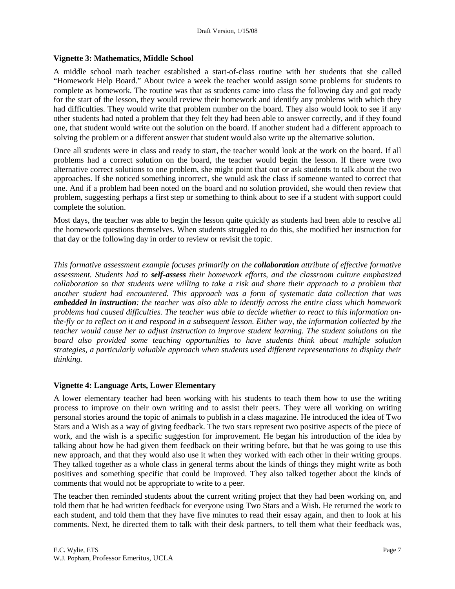#### **Vignette 3: Mathematics, Middle School**

A middle school math teacher established a start-of-class routine with her students that she called "Homework Help Board." About twice a week the teacher would assign some problems for students to complete as homework. The routine was that as students came into class the following day and got ready for the start of the lesson, they would review their homework and identify any problems with which they had difficulties. They would write that problem number on the board. They also would look to see if any other students had noted a problem that they felt they had been able to answer correctly, and if they found one, that student would write out the solution on the board. If another student had a different approach to solving the problem or a different answer that student would also write up the alternative solution.

Once all students were in class and ready to start, the teacher would look at the work on the board. If all problems had a correct solution on the board, the teacher would begin the lesson. If there were two alternative correct solutions to one problem, she might point that out or ask students to talk about the two approaches. If she noticed something incorrect, she would ask the class if someone wanted to correct that one. And if a problem had been noted on the board and no solution provided, she would then review that problem, suggesting perhaps a first step or something to think about to see if a student with support could complete the solution.

Most days, the teacher was able to begin the lesson quite quickly as students had been able to resolve all the homework questions themselves. When students struggled to do this, she modified her instruction for that day or the following day in order to review or revisit the topic.

*This formative assessment example focuses primarily on the collaboration attribute of effective formative assessment. Students had to self-assess their homework efforts, and the classroom culture emphasized collaboration so that students were willing to take a risk and share their approach to a problem that another student had encountered. This approach was a form of systematic data collection that was embedded in instruction: the teacher was also able to identify across the entire class which homework problems had caused difficulties. The teacher was able to decide whether to react to this information onthe-fly or to reflect on it and respond in a subsequent lesson. Either way, the information collected by the teacher would cause her to adjust instruction to improve student learning. The student solutions on the board also provided some teaching opportunities to have students think about multiple solution strategies, a particularly valuable approach when students used different representations to display their thinking.* 

#### **Vignette 4: Language Arts, Lower Elementary**

A lower elementary teacher had been working with his students to teach them how to use the writing process to improve on their own writing and to assist their peers. They were all working on writing personal stories around the topic of animals to publish in a class magazine. He introduced the idea of Two Stars and a Wish as a way of giving feedback. The two stars represent two positive aspects of the piece of work, and the wish is a specific suggestion for improvement. He began his introduction of the idea by talking about how he had given them feedback on their writing before, but that he was going to use this new approach, and that they would also use it when they worked with each other in their writing groups. They talked together as a whole class in general terms about the kinds of things they might write as both positives and something specific that could be improved. They also talked together about the kinds of comments that would not be appropriate to write to a peer.

The teacher then reminded students about the current writing project that they had been working on, and told them that he had written feedback for everyone using Two Stars and a Wish. He returned the work to each student, and told them that they have five minutes to read their essay again, and then to look at his comments. Next, he directed them to talk with their desk partners, to tell them what their feedback was,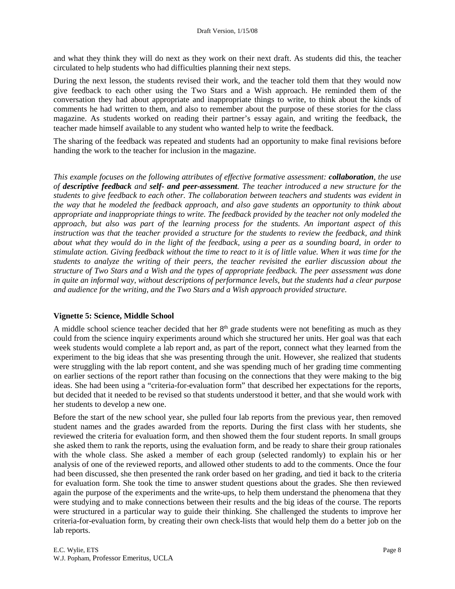and what they think they will do next as they work on their next draft. As students did this, the teacher circulated to help students who had difficulties planning their next steps.

During the next lesson, the students revised their work, and the teacher told them that they would now give feedback to each other using the Two Stars and a Wish approach. He reminded them of the conversation they had about appropriate and inappropriate things to write, to think about the kinds of comments he had written to them, and also to remember about the purpose of these stories for the class magazine. As students worked on reading their partner's essay again, and writing the feedback, the teacher made himself available to any student who wanted help to write the feedback.

The sharing of the feedback was repeated and students had an opportunity to make final revisions before handing the work to the teacher for inclusion in the magazine.

*This example focuses on the following attributes of effective formative assessment: collaboration, the use of descriptive feedback and self- and peer-assessment. The teacher introduced a new structure for the students to give feedback to each other. The collaboration between teachers and students was evident in the way that he modeled the feedback approach, and also gave students an opportunity to think about appropriate and inappropriate things to write. The feedback provided by the teacher not only modeled the approach, but also was part of the learning process for the students. An important aspect of this instruction was that the teacher provided a structure for the students to review the feedback, and think about what they would do in the light of the feedback, using a peer as a sounding board, in order to stimulate action. Giving feedback without the time to react to it is of little value. When it was time for the students to analyze the writing of their peers, the teacher revisited the earlier discussion about the structure of Two Stars and a Wish and the types of appropriate feedback. The peer assessment was done in quite an informal way, without descriptions of performance levels, but the students had a clear purpose and audience for the writing, and the Two Stars and a Wish approach provided structure.* 

#### **Vignette 5: Science, Middle School**

A middle school science teacher decided that her  $8<sup>th</sup>$  grade students were not benefiting as much as they could from the science inquiry experiments around which she structured her units. Her goal was that each week students would complete a lab report and, as part of the report, connect what they learned from the experiment to the big ideas that she was presenting through the unit. However, she realized that students were struggling with the lab report content, and she was spending much of her grading time commenting on earlier sections of the report rather than focusing on the connections that they were making to the big ideas. She had been using a "criteria-for-evaluation form" that described her expectations for the reports, but decided that it needed to be revised so that students understood it better, and that she would work with her students to develop a new one.

Before the start of the new school year, she pulled four lab reports from the previous year, then removed student names and the grades awarded from the reports. During the first class with her students, she reviewed the criteria for evaluation form, and then showed them the four student reports. In small groups she asked them to rank the reports, using the evaluation form, and be ready to share their group rationales with the whole class. She asked a member of each group (selected randomly) to explain his or her analysis of one of the reviewed reports, and allowed other students to add to the comments. Once the four had been discussed, she then presented the rank order based on her grading, and tied it back to the criteria for evaluation form. She took the time to answer student questions about the grades. She then reviewed again the purpose of the experiments and the write-ups, to help them understand the phenomena that they were studying and to make connections between their results and the big ideas of the course. The reports were structured in a particular way to guide their thinking. She challenged the students to improve her criteria-for-evaluation form, by creating their own check-lists that would help them do a better job on the lab reports.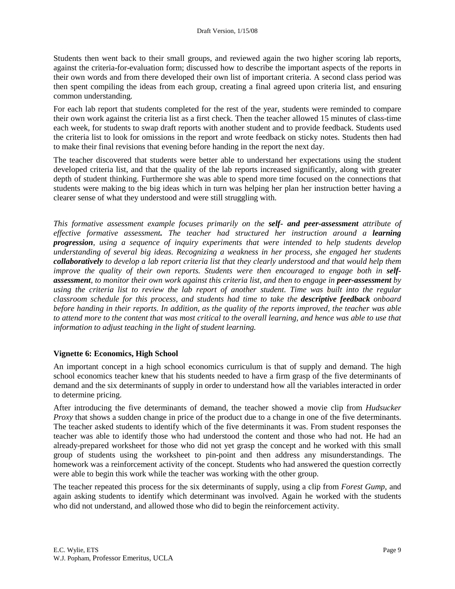Students then went back to their small groups, and reviewed again the two higher scoring lab reports, against the criteria-for-evaluation form; discussed how to describe the important aspects of the reports in their own words and from there developed their own list of important criteria. A second class period was then spent compiling the ideas from each group, creating a final agreed upon criteria list, and ensuring common understanding.

For each lab report that students completed for the rest of the year, students were reminded to compare their own work against the criteria list as a first check. Then the teacher allowed 15 minutes of class-time each week, for students to swap draft reports with another student and to provide feedback. Students used the criteria list to look for omissions in the report and wrote feedback on sticky notes. Students then had to make their final revisions that evening before handing in the report the next day.

The teacher discovered that students were better able to understand her expectations using the student developed criteria list, and that the quality of the lab reports increased significantly, along with greater depth of student thinking. Furthermore she was able to spend more time focused on the connections that students were making to the big ideas which in turn was helping her plan her instruction better having a clearer sense of what they understood and were still struggling with.

*This formative assessment example focuses primarily on the self- and peer-assessment attribute of effective formative assessment. The teacher had structured her instruction around a learning progression, using a sequence of inquiry experiments that were intended to help students develop understanding of several big ideas. Recognizing a weakness in her process, she engaged her students collaboratively to develop a lab report criteria list that they clearly understood and that would help them*  improve the quality of their own reports. Students were then encouraged to engage both in self*assessment, to monitor their own work against this criteria list, and then to engage in peer-assessment by using the criteria list to review the lab report of another student. Time was built into the regular classroom schedule for this process, and students had time to take the descriptive feedback onboard before handing in their reports. In addition, as the quality of the reports improved, the teacher was able to attend more to the content that was most critical to the overall learning, and hence was able to use that information to adjust teaching in the light of student learning.*

#### **Vignette 6: Economics, High School**

An important concept in a high school economics curriculum is that of supply and demand. The high school economics teacher knew that his students needed to have a firm grasp of the five determinants of demand and the six determinants of supply in order to understand how all the variables interacted in order to determine pricing.

After introducing the five determinants of demand, the teacher showed a movie clip from *Hudsucker Proxy* that shows a sudden change in price of the product due to a change in one of the five determinants. The teacher asked students to identify which of the five determinants it was. From student responses the teacher was able to identify those who had understood the content and those who had not. He had an already-prepared worksheet for those who did not yet grasp the concept and he worked with this small group of students using the worksheet to pin-point and then address any misunderstandings. The homework was a reinforcement activity of the concept. Students who had answered the question correctly were able to begin this work while the teacher was working with the other group.

The teacher repeated this process for the six determinants of supply, using a clip from *Forest Gump*, and again asking students to identify which determinant was involved. Again he worked with the students who did not understand, and allowed those who did to begin the reinforcement activity.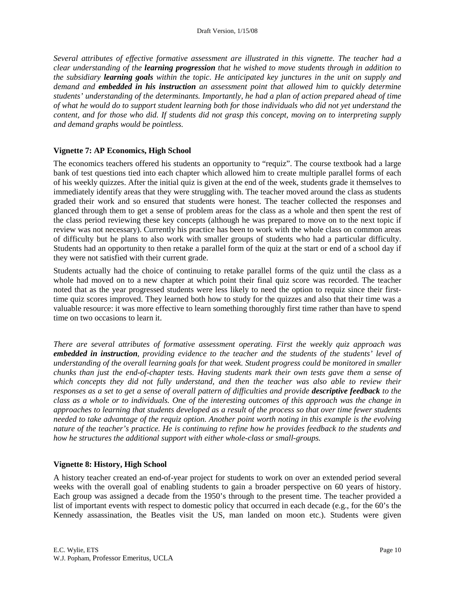*Several attributes of effective formative assessment are illustrated in this vignette. The teacher had a clear understanding of the learning progression that he wished to move students through in addition to the subsidiary learning goals within the topic. He anticipated key junctures in the unit on supply and demand and embedded in his instruction an assessment point that allowed him to quickly determine students' understanding of the determinants. Importantly, he had a plan of action prepared ahead of time of what he would do to support student learning both for those individuals who did not yet understand the content, and for those who did. If students did not grasp this concept, moving on to interpreting supply and demand graphs would be pointless.* 

### **Vignette 7: AP Economics, High School**

The economics teachers offered his students an opportunity to "requiz". The course textbook had a large bank of test questions tied into each chapter which allowed him to create multiple parallel forms of each of his weekly quizzes. After the initial quiz is given at the end of the week, students grade it themselves to immediately identify areas that they were struggling with. The teacher moved around the class as students graded their work and so ensured that students were honest. The teacher collected the responses and glanced through them to get a sense of problem areas for the class as a whole and then spent the rest of the class period reviewing these key concepts (although he was prepared to move on to the next topic if review was not necessary). Currently his practice has been to work with the whole class on common areas of difficulty but he plans to also work with smaller groups of students who had a particular difficulty. Students had an opportunity to then retake a parallel form of the quiz at the start or end of a school day if they were not satisfied with their current grade.

Students actually had the choice of continuing to retake parallel forms of the quiz until the class as a whole had moved on to a new chapter at which point their final quiz score was recorded. The teacher noted that as the year progressed students were less likely to need the option to requiz since their firsttime quiz scores improved. They learned both how to study for the quizzes and also that their time was a valuable resource: it was more effective to learn something thoroughly first time rather than have to spend time on two occasions to learn it.

*There are several attributes of formative assessment operating. First the weekly quiz approach was embedded in instruction, providing evidence to the teacher and the students of the students' level of understanding of the overall learning goals for that week. Student progress could be monitored in smaller chunks than just the end-of-chapter tests. Having students mark their own tests gave them a sense of which concepts they did not fully understand, and then the teacher was also able to review their responses as a set to get a sense of overall pattern of difficulties and provide descriptive feedback to the class as a whole or to individuals. One of the interesting outcomes of this approach was the change in approaches to learning that students developed as a result of the process so that over time fewer students needed to take advantage of the requiz option. Another point worth noting in this example is the evolving nature of the teacher's practice. He is continuing to refine how he provides feedback to the students and how he structures the additional support with either whole-class or small-groups.* 

## **Vignette 8: History, High School**

A history teacher created an end-of-year project for students to work on over an extended period several weeks with the overall goal of enabling students to gain a broader perspective on 60 years of history. Each group was assigned a decade from the 1950's through to the present time. The teacher provided a list of important events with respect to domestic policy that occurred in each decade (e.g., for the 60's the Kennedy assassination, the Beatles visit the US, man landed on moon etc.). Students were given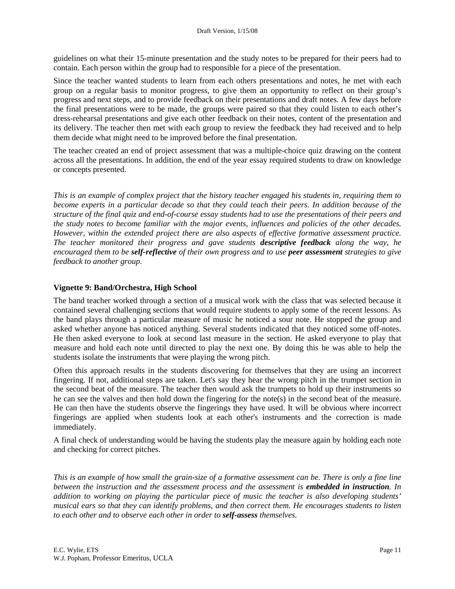guidelines on what their 15-minute presentation and the study notes to be prepared for their peers had to contain. Each person within the group had to responsible for a piece of the presentation.

Since the teacher wanted students to learn from each others presentations and notes, he met with each group on a regular basis to monitor progress, to give them an opportunity to reflect on their group's progress and next steps, and to provide feedback on their presentations and draft notes. A few days before the final presentations were to be made, the groups were paired so that they could listen to each other's dress-rehearsal presentations and give each other feedback on their notes, content of the presentation and its delivery. The teacher then met with each group to review the feedback they had received and to help them decide what might need to be improved before the final presentation.

The teacher created an end of project assessment that was a multiple-choice quiz drawing on the content across all the presentations. In addition, the end of the year essay required students to draw on knowledge or concepts presented.

*This is an example of complex project that the history teacher engaged his students in, requiring them to become experts in a particular decade so that they could teach their peers. In addition because of the structure of the final quiz and end-of-course essay students had to use the presentations of their peers and the study notes to become familiar with the major events, influences and policies of the other decades. However, within the extended project there are also aspects of effective formative assessment practice. The teacher monitored their progress and gave students descriptive feedback along the way, he encouraged them to be self-reflective of their own progress and to use peer assessment strategies to give feedback to another group.* 

### **Vignette 9: Band/Orchestra, High School**

The band teacher worked through a section of a musical work with the class that was selected because it contained several challenging sections that would require students to apply some of the recent lessons. As the band plays through a particular measure of music he noticed a sour note. He stopped the group and asked whether anyone has noticed anything. Several students indicated that they noticed some off-notes. He then asked everyone to look at second last measure in the section. He asked everyone to play that measure and hold each note until directed to play the next one. By doing this he was able to help the students isolate the instruments that were playing the wrong pitch.

Often this approach results in the students discovering for themselves that they are using an incorrect fingering. If not, additional steps are taken. Let's say they hear the wrong pitch in the trumpet section in the second beat of the measure. The teacher then would ask the trumpets to hold up their instruments so he can see the valves and then hold down the fingering for the note(s) in the second beat of the measure. He can then have the students observe the fingerings they have used. It will be obvious where incorrect fingerings are applied when students look at each other's instruments and the correction is made immediately.

A final check of understanding would be having the students play the measure again by holding each note and checking for correct pitches.

*This is an example of how small the grain-size of a formative assessment can be. There is only a fine line between the instruction and the assessment process and the assessment is embedded in instruction. In addition to working on playing the particular piece of music the teacher is also developing students' musical ears so that they can identify problems, and then correct them. He encourages students to listen to each other and to observe each other in order to self-assess themselves.*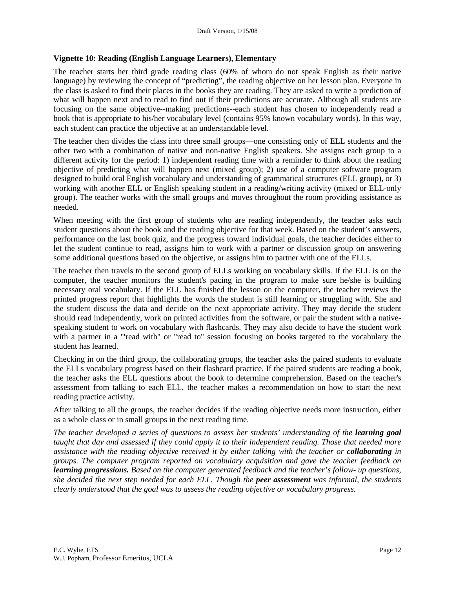#### **Vignette 10: Reading (English Language Learners), Elementary**

The teacher starts her third grade reading class (60% of whom do not speak English as their native language) by reviewing the concept of "predicting", the reading objective on her lesson plan. Everyone in the class is asked to find their places in the books they are reading. They are asked to write a prediction of what will happen next and to read to find out if their predictions are accurate. Although all students are focusing on the same objective--making predictions--each student has chosen to independently read a book that is appropriate to his/her vocabulary level (contains 95% known vocabulary words). In this way, each student can practice the objective at an understandable level.

The teacher then divides the class into three small groups—one consisting only of ELL students and the other two with a combination of native and non-native English speakers. She assigns each group to a different activity for the period: 1) independent reading time with a reminder to think about the reading objective of predicting what will happen next (mixed group); 2) use of a computer software program designed to build oral English vocabulary and understanding of grammatical structures (ELL group), or 3) working with another ELL or English speaking student in a reading/writing activity (mixed or ELL-only group). The teacher works with the small groups and moves throughout the room providing assistance as needed.

When meeting with the first group of students who are reading independently, the teacher asks each student questions about the book and the reading objective for that week. Based on the student's answers, performance on the last book quiz, and the progress toward individual goals, the teacher decides either to let the student continue to read, assigns him to work with a partner or discussion group on answering some additional questions based on the objective, or assigns him to partner with one of the ELLs.

The teacher then travels to the second group of ELLs working on vocabulary skills. If the ELL is on the computer, the teacher monitors the student's pacing in the program to make sure he/she is building necessary oral vocabulary. If the ELL has finished the lesson on the computer, the teacher reviews the printed progress report that highlights the words the student is still learning or struggling with. She and the student discuss the data and decide on the next appropriate activity. They may decide the student should read independently, work on printed activities from the software, or pair the student with a nativespeaking student to work on vocabulary with flashcards. They may also decide to have the student work with a partner in a "'read with" or "read to" session focusing on books targeted to the vocabulary the student has learned.

Checking in on the third group, the collaborating groups, the teacher asks the paired students to evaluate the ELLs vocabulary progress based on their flashcard practice. If the paired students are reading a book, the teacher asks the ELL questions about the book to determine comprehension. Based on the teacher's assessment from talking to each ELL, the teacher makes a recommendation on how to start the next reading practice activity.

After talking to all the groups, the teacher decides if the reading objective needs more instruction, either as a whole class or in small groups in the next reading time.

*The teacher developed a series of questions to assess her students' understanding of the <i>learning goal taught that day and assessed if they could apply it to their independent reading. Those that needed more assistance with the reading objective received it by either talking with the teacher or collaborating in groups. The computer program reported on vocabulary acquisition and gave the teacher feedback on learning progressions. Based on the computer generated feedback and the teacher's follow- up questions, she decided the next step needed for each ELL. Though the peer assessment was informal, the students clearly understood that the goal was to assess the reading objective or vocabulary progress.*